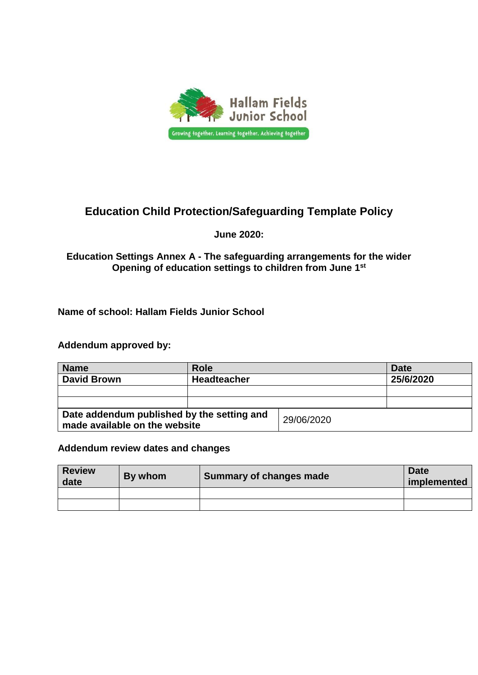

# **Education Child Protection/Safeguarding Template Policy**

#### **June 2020:**

#### **Education Settings Annex A - The safeguarding arrangements for the wider Opening of education settings to children from June 1st**

#### **Name of school: Hallam Fields Junior School**

#### **Addendum approved by:**

| <b>Name</b>                                                                 | Role               |            | Date      |
|-----------------------------------------------------------------------------|--------------------|------------|-----------|
| <b>David Brown</b>                                                          | <b>Headteacher</b> |            | 25/6/2020 |
|                                                                             |                    |            |           |
|                                                                             |                    |            |           |
| Date addendum published by the setting and<br>made available on the website |                    | 29/06/2020 |           |

#### **Addendum review dates and changes**

| <b>Review</b><br>date | By whom | Summary of changes made | <b>Date</b><br>implemented |
|-----------------------|---------|-------------------------|----------------------------|
|                       |         |                         |                            |
|                       |         |                         |                            |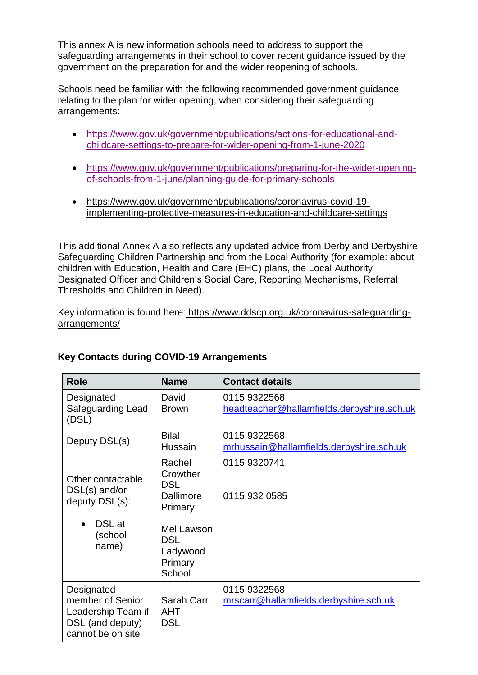This annex A is new information schools need to address to support the safeguarding arrangements in their school to cover recent guidance issued by the government on the preparation for and the wider reopening of schools.

Schools need be familiar with the following recommended government guidance relating to the plan for wider opening, when considering their safeguarding arrangements:

- [https://www.gov.uk/government/publications/actions-for-educational-and](https://www.gov.uk/government/publications/actions-for-educational-and-childcare-settings-to-prepare-for-wider-opening-from-1-june-2020)[childcare-settings-to-prepare-for-wider-opening-from-1-june-2020](https://www.gov.uk/government/publications/actions-for-educational-and-childcare-settings-to-prepare-for-wider-opening-from-1-june-2020)
- [https://www.gov.uk/government/publications/preparing-for-the-wider-opening](https://www.gov.uk/government/publications/preparing-for-the-wider-opening-of-schools-from-1-june/planning-guide-for-primary-schools)[of-schools-from-1-june/planning-guide-for-primary-schools](https://www.gov.uk/government/publications/preparing-for-the-wider-opening-of-schools-from-1-june/planning-guide-for-primary-schools)
- [https://www.gov.uk/government/publications/coronavirus-covid-19](https://www.gov.uk/government/publications/coronavirus-covid-19-implementing-protective-measures-in-education-and-childcare-settings) [implementing-protective-measures-in-education-and-childcare-settings](https://www.gov.uk/government/publications/coronavirus-covid-19-implementing-protective-measures-in-education-and-childcare-settings)

This additional Annex A also reflects any updated advice from Derby and Derbyshire Safeguarding Children Partnership and from the Local Authority (for example: about children with Education, Health and Care (EHC) plans, the Local Authority Designated Officer and Children's Social Care, Reporting Mechanisms, Referral Thresholds and Children in Need).

Key information is found here: [https://www.ddscp.org.uk/coronavirus-safeguarding](https://www.ddscp.org.uk/coronavirus-safeguarding-arrangements/)[arrangements/](https://www.ddscp.org.uk/coronavirus-safeguarding-arrangements/)

| <b>Role</b>                                                                                   | <b>Name</b>                                                                                                           | <b>Contact details</b>                                     |
|-----------------------------------------------------------------------------------------------|-----------------------------------------------------------------------------------------------------------------------|------------------------------------------------------------|
| Designated<br>Safeguarding Lead<br>(DSL)                                                      | David<br><b>Brown</b>                                                                                                 | 0115 9322568<br>headteacher@hallamfields.derbyshire.sch.uk |
| Deputy DSL(s)                                                                                 | <b>Bilal</b><br>Hussain                                                                                               | 0115 9322568<br>mrhussain@hallamfields.derbyshire.sch.uk   |
| Other contactable<br>$DSL(s)$ and/or<br>deputy DSL(s):<br>DSL at<br>(school<br>name)          | Rachel<br>Crowther<br><b>DSL</b><br>Dallimore<br>Primary<br>Mel Lawson<br><b>DSL</b><br>Ladywood<br>Primary<br>School | 0115 9320741<br>0115 932 0585                              |
| Designated<br>member of Senior<br>Leadership Team if<br>DSL (and deputy)<br>cannot be on site | Sarah Carr<br><b>AHT</b><br><b>DSL</b>                                                                                | 0115 9322568<br>mrscarr@hallamfields.derbyshire.sch.uk     |

# **Key Contacts during COVID-19 Arrangements**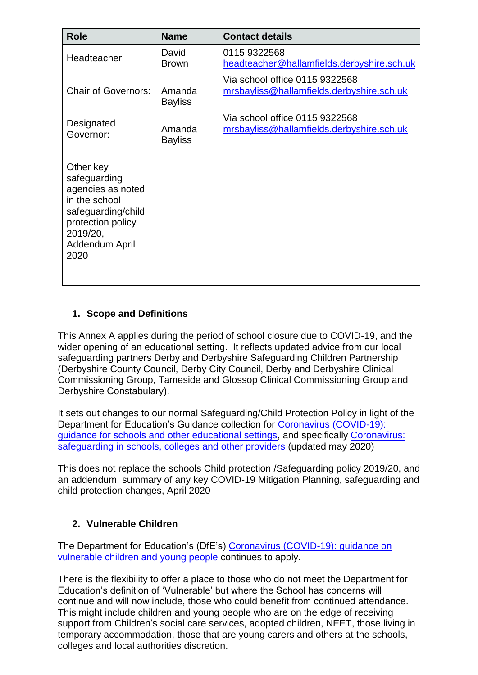| <b>Role</b>                                                                                                                                      | <b>Name</b>              | <b>Contact details</b>                                                      |
|--------------------------------------------------------------------------------------------------------------------------------------------------|--------------------------|-----------------------------------------------------------------------------|
| Headteacher                                                                                                                                      | David<br><b>Brown</b>    | 0115 9322568<br>headteacher@hallamfields.derbyshire.sch.uk                  |
| <b>Chair of Governors:</b>                                                                                                                       | Amanda<br><b>Bayliss</b> | Via school office 0115 9322568<br>mrsbayliss@hallamfields.derbyshire.sch.uk |
| Designated<br>Governor:                                                                                                                          | Amanda<br><b>Bayliss</b> | Via school office 0115 9322568<br>mrsbayliss@hallamfields.derbyshire.sch.uk |
| Other key<br>safeguarding<br>agencies as noted<br>in the school<br>safeguarding/child<br>protection policy<br>2019/20,<br>Addendum April<br>2020 |                          |                                                                             |

# **1. Scope and Definitions**

This Annex A applies during the period of school closure due to COVID-19, and the wider opening of an educational setting. It reflects updated advice from our local safeguarding partners Derby and Derbyshire Safeguarding Children Partnership (Derbyshire County Council, Derby City Council, Derby and Derbyshire Clinical Commissioning Group, Tameside and Glossop Clinical Commissioning Group and Derbyshire Constabulary).

It sets out changes to our normal Safeguarding/Child Protection Policy in light of the Department for Education's Guidance collection for [Coronavirus \(COVID-19\):](https://www.gov.uk/government/collections/coronavirus-covid-19-guidance-for-schools-and-other-educational-settings)  [guidance for schools and other educational settings,](https://www.gov.uk/government/collections/coronavirus-covid-19-guidance-for-schools-and-other-educational-settings) and specifically [Coronavirus:](https://www.gov.uk/government/publications/covid-19-safeguarding-in-schools-colleges-and-other-providers)  [safeguarding in schools, colleges and other providers](https://www.gov.uk/government/publications/covid-19-safeguarding-in-schools-colleges-and-other-providers) (updated may 2020)

This does not replace the schools Child protection /Safeguarding policy 2019/20, and an addendum, summary of any key COVID-19 Mitigation Planning, safeguarding and child protection changes, April 2020

# **2. Vulnerable Children**

The Department for Education's (DfE's) [Coronavirus \(COVID-19\): guidance on](https://www.gov.uk/government/publications/coronavirus-covid-19-guidance-on-vulnerable-children-and-young-people/coronavirus-covid-19-guidance-on-vulnerable-children-and-young-people)  [vulnerable children and](https://www.gov.uk/government/publications/coronavirus-covid-19-guidance-on-vulnerable-children-and-young-people/coronavirus-covid-19-guidance-on-vulnerable-children-and-young-people) young people continues to apply.

There is the flexibility to offer a place to those who do not meet the Department for Education's definition of 'Vulnerable' but where the School has concerns will continue and will now include, those who could benefit from continued attendance. This might include children and young people who are on the edge of receiving support from Children's social care services, adopted children, NEET, those living in temporary accommodation, those that are young carers and others at the schools, colleges and local authorities discretion.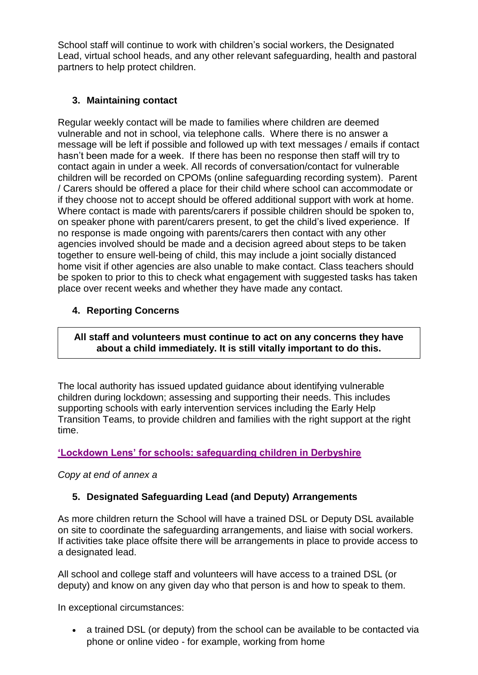School staff will continue to work with children's social workers, the Designated Lead, virtual school heads, and any other relevant safeguarding, health and pastoral partners to help protect children.

# **3. Maintaining contact**

Regular weekly contact will be made to families where children are deemed vulnerable and not in school, via telephone calls. Where there is no answer a message will be left if possible and followed up with text messages / emails if contact hasn't been made for a week. If there has been no response then staff will try to contact again in under a week. All records of conversation/contact for vulnerable children will be recorded on CPOMs (online safeguarding recording system). Parent / Carers should be offered a place for their child where school can accommodate or if they choose not to accept should be offered additional support with work at home. Where contact is made with parents/carers if possible children should be spoken to, on speaker phone with parent/carers present, to get the child's lived experience. If no response is made ongoing with parents/carers then contact with any other agencies involved should be made and a decision agreed about steps to be taken together to ensure well-being of child, this may include a joint socially distanced home visit if other agencies are also unable to make contact. Class teachers should be spoken to prior to this to check what engagement with suggested tasks has taken place over recent weeks and whether they have made any contact.

## **4. Reporting Concerns**

#### **All staff and volunteers must continue to act on any concerns they have about a child immediately. It is still vitally important to do this.**

The local authority has issued updated guidance about identifying vulnerable children during lockdown; assessing and supporting their needs. This includes supporting schools with early intervention services including the Early Help Transition Teams, to provide children and families with the right support at the right time.

# **['Lockdown Lens' for schools: safeguarding children in Derbyshire](https://lnks.gd/l/eyJhbGciOiJIUzI1NiJ9.eyJidWxsZXRpbl9saW5rX2lkIjoxMDEsInVyaSI6ImJwMjpjbGljayIsImJ1bGxldGluX2lkIjoiMjAyMDA1MjIuMjE4ODY1MTEiLCJ1cmwiOiJodHRwczovL3NjaG9vbHNuZXQuZGVyYnlzaGlyZS5nb3YudWsvc2l0ZS1lbGVtZW50cy9kb2N1bWVudHMvYWRtaW5pc3RyYXRpb24vbG9ja2Rvd24tbGVucy1tYXktMjAyMC5wZGYifQ.r9DT46lsGww2XH4UqPGWS9W_x1DxveIt1kBtmuKChhk/br/78977082256-l)**

#### *Copy at end of annex a*

#### **5. Designated Safeguarding Lead (and Deputy) Arrangements**

As more children return the School will have a trained DSL or Deputy DSL available on site to coordinate the safeguarding arrangements, and liaise with social workers. If activities take place offsite there will be arrangements in place to provide access to a designated lead.

All school and college staff and volunteers will have access to a trained DSL (or deputy) and know on any given day who that person is and how to speak to them.

In exceptional circumstances:

 a trained DSL (or deputy) from the school can be available to be contacted via phone or online video - for example, working from home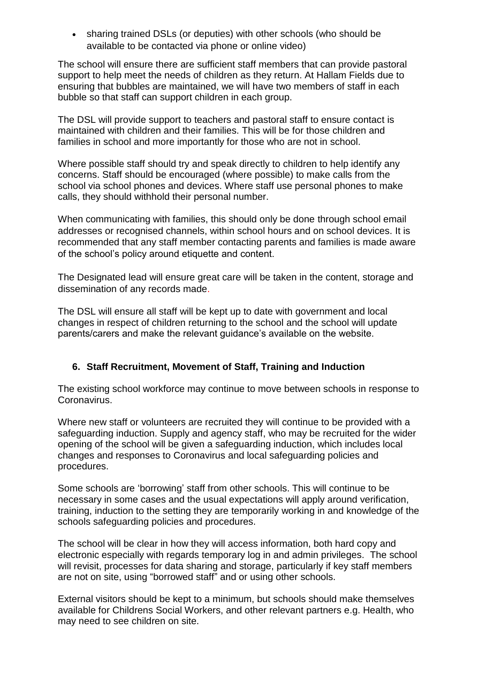• sharing trained DSLs (or deputies) with other schools (who should be available to be contacted via phone or online video)

The school will ensure there are sufficient staff members that can provide pastoral support to help meet the needs of children as they return. At Hallam Fields due to ensuring that bubbles are maintained, we will have two members of staff in each bubble so that staff can support children in each group.

The DSL will provide support to teachers and pastoral staff to ensure contact is maintained with children and their families. This will be for those children and families in school and more importantly for those who are not in school.

Where possible staff should try and speak directly to children to help identify any concerns. Staff should be encouraged (where possible) to make calls from the school via school phones and devices. Where staff use personal phones to make calls, they should withhold their personal number.

When communicating with families, this should only be done through school email addresses or recognised channels, within school hours and on school devices. It is recommended that any staff member contacting parents and families is made aware of the school's policy around etiquette and content.

The Designated lead will ensure great care will be taken in the content, storage and dissemination of any records made.

The DSL will ensure all staff will be kept up to date with government and local changes in respect of children returning to the school and the school will update parents/carers and make the relevant guidance's available on the website.

#### **6. Staff Recruitment, Movement of Staff, Training and Induction**

The existing school workforce may continue to move between schools in response to Coronavirus.

Where new staff or volunteers are recruited they will continue to be provided with a safeguarding induction. Supply and agency staff, who may be recruited for the wider opening of the school will be given a safeguarding induction, which includes local changes and responses to Coronavirus and local safeguarding policies and procedures.

Some schools are 'borrowing' staff from other schools. This will continue to be necessary in some cases and the usual expectations will apply around verification, training, induction to the setting they are temporarily working in and knowledge of the schools safeguarding policies and procedures.

The school will be clear in how they will access information, both hard copy and electronic especially with regards temporary log in and admin privileges. The school will revisit, processes for data sharing and storage, particularly if key staff members are not on site, using "borrowed staff" and or using other schools.

External visitors should be kept to a minimum, but schools should make themselves available for Childrens Social Workers, and other relevant partners e.g. Health, who may need to see children on site.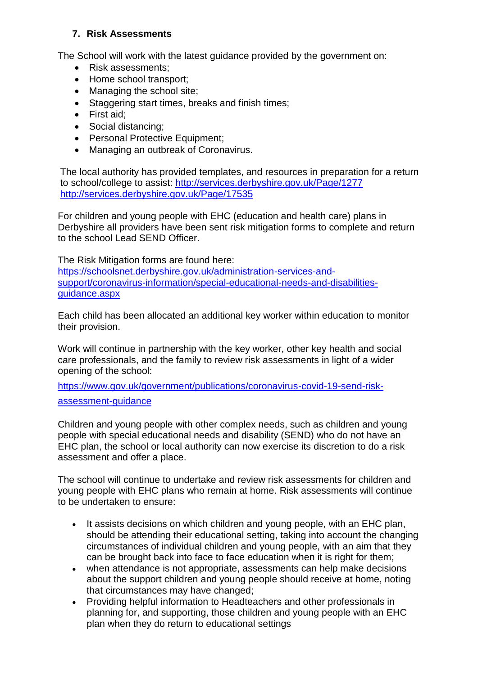#### **7. Risk Assessments**

The School will work with the latest guidance provided by the government on:

- Risk assessments;
- Home school transport;
- Managing the school site;
- Staggering start times, breaks and finish times;
- First aid:
- Social distancing;
- Personal Protective Equipment;
- Managing an outbreak of Coronavirus.

The local authority has provided templates, and resources in preparation for a return to school/college to assist:<http://services.derbyshire.gov.uk/Page/1277> <http://services.derbyshire.gov.uk/Page/17535>

For children and young people with EHC (education and health care) plans in Derbyshire all providers have been sent risk mitigation forms to complete and return to the school Lead SEND Officer.

The Risk Mitigation forms are found here:

[https://schoolsnet.derbyshire.gov.uk/administration-services-and](https://schoolsnet.derbyshire.gov.uk/administration-services-and-support/coronavirus-information/special-educational-needs-and-disabilities-guidance.aspx)[support/coronavirus-information/special-educational-needs-and-disabilities](https://schoolsnet.derbyshire.gov.uk/administration-services-and-support/coronavirus-information/special-educational-needs-and-disabilities-guidance.aspx)[guidance.aspx](https://schoolsnet.derbyshire.gov.uk/administration-services-and-support/coronavirus-information/special-educational-needs-and-disabilities-guidance.aspx)

Each child has been allocated an additional key worker within education to monitor their provision.

Work will continue in partnership with the key worker, other key health and social care professionals, and the family to review risk assessments in light of a wider opening of the school:

[https://www.gov.uk/government/publications/coronavirus-covid-19-send-risk-](https://www.gov.uk/government/publications/coronavirus-covid-19-send-risk-assessment-guidance)

[assessment-guidance](https://www.gov.uk/government/publications/coronavirus-covid-19-send-risk-assessment-guidance)

Children and young people with other complex needs, such as children and young people with special educational needs and disability (SEND) who do not have an EHC plan, the school or local authority can now exercise its discretion to do a risk assessment and offer a place.

The school will continue to undertake and review risk assessments for children and young people with EHC plans who remain at home. Risk assessments will continue to be undertaken to ensure:

- It assists decisions on which children and young people, with an EHC plan, should be attending their educational setting, taking into account the changing circumstances of individual children and young people, with an aim that they can be brought back into face to face education when it is right for them;
- when attendance is not appropriate, assessments can help make decisions about the support children and young people should receive at home, noting that circumstances may have changed;
- Providing helpful information to Headteachers and other professionals in planning for, and supporting, those children and young people with an EHC plan when they do return to educational settings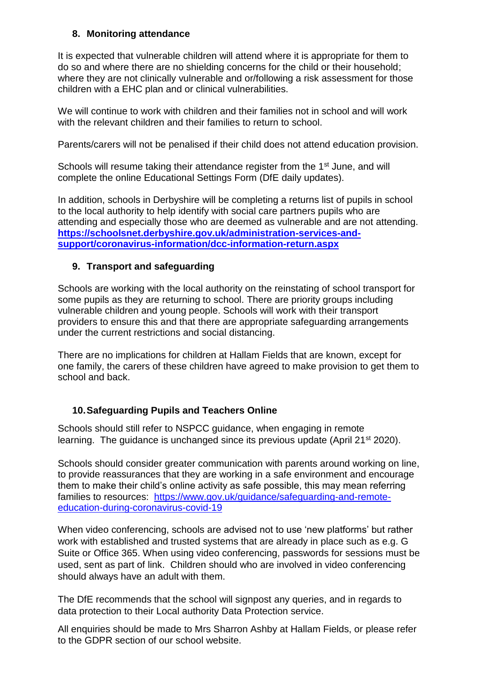#### **8. Monitoring attendance**

It is expected that vulnerable children will attend where it is appropriate for them to do so and where there are no shielding concerns for the child or their household; where they are not clinically vulnerable and or/following a risk assessment for those children with a EHC plan and or clinical vulnerabilities.

We will continue to work with children and their families not in school and will work with the relevant children and their families to return to school.

Parents/carers will not be penalised if their child does not attend education provision.

Schools will resume taking their attendance register from the 1<sup>st</sup> June, and will complete the online Educational Settings Form (DfE daily updates).

In addition, schools in Derbyshire will be completing a returns list of pupils in school to the local authority to help identify with social care partners pupils who are attending and especially those who are deemed as vulnerable and are not attending. **[https://schoolsnet.derbyshire.gov.uk/administration-services-and](https://schoolsnet.derbyshire.gov.uk/administration-services-and-support/coronavirus-information/dcc-information-return.aspx)[support/coronavirus-information/dcc-information-return.aspx](https://schoolsnet.derbyshire.gov.uk/administration-services-and-support/coronavirus-information/dcc-information-return.aspx)**

## **9. Transport and safeguarding**

Schools are working with the local authority on the reinstating of school transport for some pupils as they are returning to school. There are priority groups including vulnerable children and young people. Schools will work with their transport providers to ensure this and that there are appropriate safeguarding arrangements under the current restrictions and social distancing.

There are no implications for children at Hallam Fields that are known, except for one family, the carers of these children have agreed to make provision to get them to school and back.

# **10.Safeguarding Pupils and Teachers Online**

Schools should still refer to NSPCC guidance, when engaging in remote learning. The guidance is unchanged since its previous update (April 21<sup>st</sup> 2020).

Schools should consider greater communication with parents around working on line, to provide reassurances that they are working in a safe environment and encourage them to make their child's online activity as safe possible, this may mean referring families to resources: [https://www.gov.uk/guidance/safeguarding-and-remote](https://www.gov.uk/guidance/safeguarding-and-remote-education-during-coronavirus-covid-19)[education-during-coronavirus-covid-19](https://www.gov.uk/guidance/safeguarding-and-remote-education-during-coronavirus-covid-19)

When video conferencing, schools are advised not to use 'new platforms' but rather work with established and trusted systems that are already in place such as e.g. G Suite or Office 365. When using video conferencing, passwords for sessions must be used, sent as part of link. Children should who are involved in video conferencing should always have an adult with them.

The DfE recommends that the school will signpost any queries, and in regards to data protection to their Local authority Data Protection service.

All enquiries should be made to Mrs Sharron Ashby at Hallam Fields, or please refer to the GDPR section of our school website.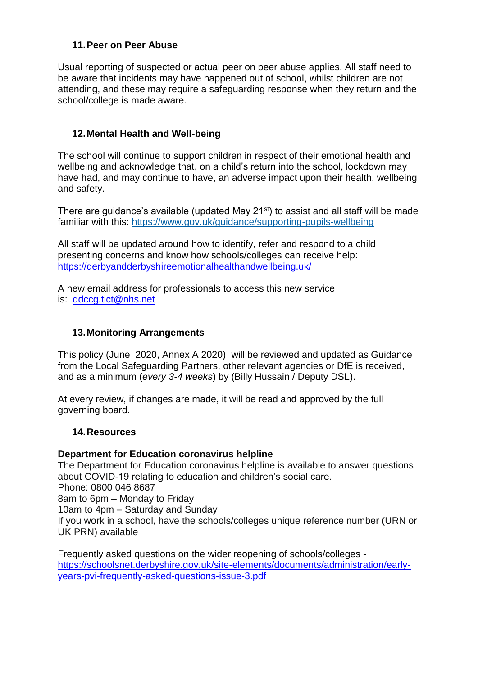#### **11.Peer on Peer Abuse**

Usual reporting of suspected or actual peer on peer abuse applies. All staff need to be aware that incidents may have happened out of school, whilst children are not attending, and these may require a safeguarding response when they return and the school/college is made aware.

#### **12.Mental Health and Well-being**

The school will continue to support children in respect of their emotional health and wellbeing and acknowledge that, on a child's return into the school, lockdown may have had, and may continue to have, an adverse impact upon their health, wellbeing and safety.

There are guidance's available (updated May 21<sup>st</sup>) to assist and all staff will be made familiar with this:<https://www.gov.uk/guidance/supporting-pupils-wellbeing>

All staff will be updated around how to identify, refer and respond to a child presenting concerns and know how schools/colleges can receive help: <https://derbyandderbyshireemotionalhealthandwellbeing.uk/>

A new email address for professionals to access this new service is: [ddccg.tict@nhs.net](mailto:ddccg.tict@nhs.net)

#### **13.Monitoring Arrangements**

This policy (June 2020, Annex A 2020) will be reviewed and updated as Guidance from the Local Safeguarding Partners, other relevant agencies or DfE is received, and as a minimum (*every 3-4 weeks*) by (Billy Hussain / Deputy DSL).

At every review, if changes are made, it will be read and approved by the full governing board.

#### **14.Resources**

#### **Department for Education coronavirus helpline**

The Department for Education coronavirus helpline is available to answer questions about COVID-19 relating to education and children's social care. Phone: 0800 046 8687 8am to 6pm – Monday to Friday 10am to 4pm – Saturday and Sunday If you work in a school, have the schools/colleges unique reference number (URN or UK PRN) available

Frequently asked questions on the wider reopening of schools/colleges [https://schoolsnet.derbyshire.gov.uk/site-elements/documents/administration/early](https://schoolsnet.derbyshire.gov.uk/site-elements/documents/administration/early-years-pvi-frequently-asked-questions-issue-3.pdf)[years-pvi-frequently-asked-questions-issue-3.pdf](https://schoolsnet.derbyshire.gov.uk/site-elements/documents/administration/early-years-pvi-frequently-asked-questions-issue-3.pdf)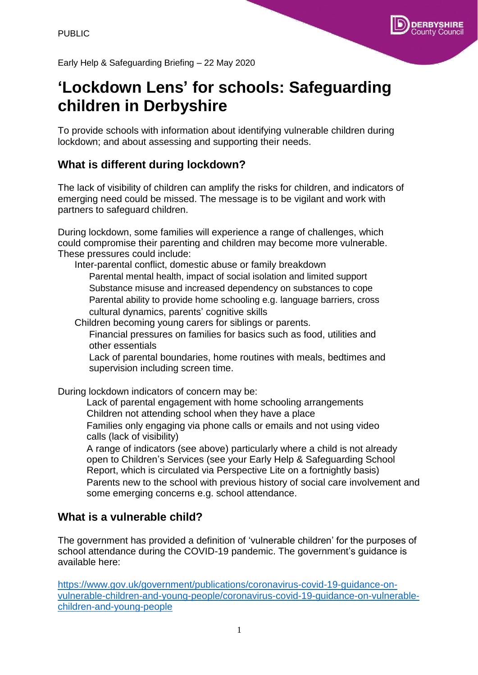

Early Help & Safeguarding Briefing – 22 May 2020

# **'Lockdown Lens' for schools: Safeguarding children in Derbyshire**

To provide schools with information about identifying vulnerable children during lockdown; and about assessing and supporting their needs.

# **What is different during lockdown?**

The lack of visibility of children can amplify the risks for children, and indicators of emerging need could be missed. The message is to be vigilant and work with partners to safeguard children.

During lockdown, some families will experience a range of challenges, which could compromise their parenting and children may become more vulnerable. These pressures could include:

Inter-parental conflict, domestic abuse or family breakdown Parental mental health, impact of social isolation and limited support Substance misuse and increased dependency on substances to cope Parental ability to provide home schooling e.g. language barriers, cross cultural dynamics, parents' cognitive skills

Children becoming young carers for siblings or parents.

Financial pressures on families for basics such as food, utilities and other essentials

Lack of parental boundaries, home routines with meals, bedtimes and supervision including screen time.

During lockdown indicators of concern may be:

Lack of parental engagement with home schooling arrangements Children not attending school when they have a place Families only engaging via phone calls or emails and not using video calls (lack of visibility)

A range of indicators (see above) particularly where a child is not already open to Children's Services (see your Early Help & Safeguarding School Report, which is circulated via Perspective Lite on a fortnightly basis) Parents new to the school with previous history of social care involvement and some emerging concerns e.g. school attendance.

# **What is a vulnerable child?**

The government has provided a definition of 'vulnerable children' for the purposes of school attendance during the COVID-19 pandemic. The government's guidance is available here:

[https://www.gov.uk/government/publications/coronavirus-covid-19-guidance-on](https://www.gov.uk/government/publications/coronavirus-covid-19-guidance-on-vulnerable-children-and-young-people/coronavirus-covid-19-guidance-on-vulnerable-children-and-young-people)[vulnerable-children-and-young-people/coronavirus-covid-19-guidance-on-vulnerable](https://www.gov.uk/government/publications/coronavirus-covid-19-guidance-on-vulnerable-children-and-young-people/coronavirus-covid-19-guidance-on-vulnerable-children-and-young-people)[children-and-young-people](https://www.gov.uk/government/publications/coronavirus-covid-19-guidance-on-vulnerable-children-and-young-people/coronavirus-covid-19-guidance-on-vulnerable-children-and-young-people)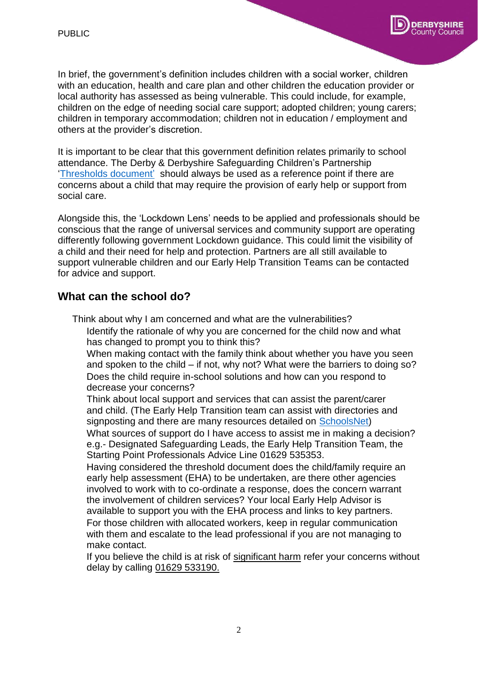

In brief, the government's definition includes children with a social worker, children with an education, health and care plan and other children the education provider or local authority has assessed as being vulnerable. This could include, for example, children on the edge of needing social care support; adopted children; young carers; children in temporary accommodation; children not in education / employment and others at the provider's discretion.

It is important to be clear that this government definition relates primarily to school attendance. The Derby & Derbyshire Safeguarding Children's Partnership ['Thresholds document' s](https://derbyshirescbs.proceduresonline.com/docs_library.html)hould always be used as a reference point if there are concerns about a child that may require the provision of early help or support from social care.

Alongside this, the 'Lockdown Lens' needs to be applied and professionals should be conscious that the range of universal services and community support are operating differently following government Lockdown guidance. This could limit the visibility of a child and their need for help and protection. Partners are all still available to support vulnerable children and our Early Help Transition Teams can be contacted for advice and support.

# **What can the school do?**

Think about why I am concerned and what are the vulnerabilities?

Identify the rationale of why you are concerned for the child now and what has changed to prompt you to think this?

When making contact with the family think about whether you have you seen and spoken to the child – if not, why not? What were the barriers to doing so? Does the child require in-school solutions and how can you respond to decrease your concerns?

Think about local support and services that can assist the parent/carer and child. (The Early Help Transition team can assist with directories and signposting and there are many resources detailed on [SchoolsNet\)](https://schoolsnet.derbyshire.gov.uk/keeping-children-safe-in-education/early-help/early-help-offer.aspx) What sources of support do I have access to assist me in making a decision? e.g.- Designated Safeguarding Leads, the Early Help Transition Team, the Starting Point Professionals Advice Line 01629 535353.

Having considered the threshold document does the child/family require an early help assessment (EHA) to be undertaken, are there other agencies involved to work with to co-ordinate a response, does the concern warrant the involvement of children services? Your local Early Help Advisor is available to support you with the EHA process and links to key partners. For those children with allocated workers, keep in regular communication with them and escalate to the lead professional if you are not managing to make contact.

If you believe the child is at risk of significant harm refer your concerns without delay by calling 01629 533190.